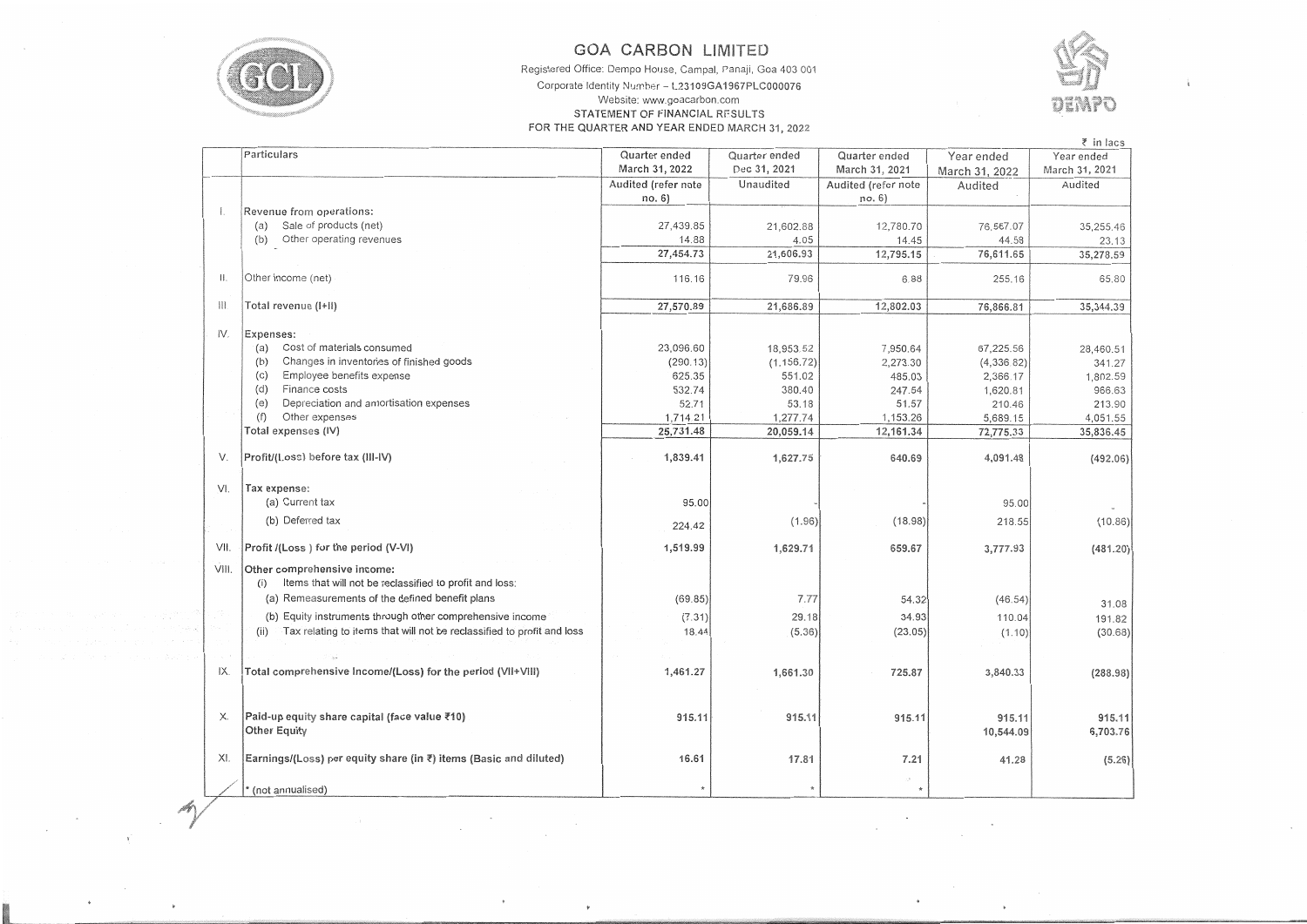

 $\sim$ 

 $\bullet$ 

 $\mathbf{r}$ 

## **GOA CARBON LIMITED**

Registered Office: Dempo House, Campal, Panaji, Goa 403 001

## Corporate Identity Number - L23109GA1967PLC000076 Website: www.goacarbon.com STATEMENT OF FINANCIAL RESULTS FOR THE QUARTER AND YEAR ENDED MARCH 31, 2022



 $\sim$ 

|                |                                                                                 |                     |               |                     |                | ₹ in lacs      |
|----------------|---------------------------------------------------------------------------------|---------------------|---------------|---------------------|----------------|----------------|
|                | Particulars                                                                     | Quarter ended       | Quarter ended | Quarter ended       | Year ended     | Year ended     |
|                |                                                                                 | March 31, 2022      | Dec 31, 2021  | March 31, 2021      | March 31, 2022 | March 31, 2021 |
|                |                                                                                 | Audited (refer note | Unaudited     | Audited (refer note | Audited        | Audited        |
|                |                                                                                 | no. 6)              |               | no. 6)              |                |                |
|                | Revenue from operations:                                                        |                     |               |                     |                |                |
|                | (a) Sale of products (net)                                                      | 27,439.85           | 21,602.88     | 12,780.70           | 76,567.07      | 35,255.46      |
|                | (b) Other operating revenues                                                    | 14.88               | 4.05          | 14.45               | 44.58          | 23.13          |
|                |                                                                                 | 27,454.73           | 21,606.93     | 12,795.15           | 76,611.65      | 35,278.59      |
|                |                                                                                 |                     |               |                     |                |                |
| $\mathbf{  }$  | Other income (net)                                                              | 116.16              | 79.96         | 6.88                | 255.16         | 65.80          |
|                |                                                                                 |                     |               |                     |                |                |
| $\mathbb{H}$ . | Total revenue (I+II)                                                            | 27,570.89           | 21,686.89     | 12,802.03           | 76,866.81      | 35,344.39      |
|                |                                                                                 |                     |               |                     |                |                |
| IV.            | Expenses:                                                                       |                     |               |                     |                |                |
|                | Cost of materials consumed<br>(a)                                               | 23,096.60           | 18,953.52     | 7,950.64            | 67,225.56      |                |
|                | Changes in inventories of finished goods<br>(b)                                 | (290.13)            | (1, 156.72)   | 2,273.30            |                | 28,460.51      |
|                | Employee benefits expense<br>(C)                                                | 625.35              |               |                     | (4,336.82)     | 341.27         |
|                | Finance costs<br>(d)                                                            | 532.74              | 551.02        | 485.03              | 2,366.17       | 1,802.59       |
|                |                                                                                 |                     | 380.40        | 247.54              | 1,620.81       | 966.63         |
|                | Depreciation and amortisation expenses<br>(e)                                   | 52.71               | 53.18         | 51.57               | 210.46         | 213.90         |
|                | Other expenses<br>(f)                                                           | 1,714.21            | 1,277.74      | 1,153.26            | 5,689.15       | 4,051.55       |
|                | Total expenses (IV)                                                             | 25,731.48           | 20,059.14     | 12,161.34           | 72,775.33      | 35,836.45      |
|                |                                                                                 |                     |               |                     |                |                |
| V.             | Profit/(l.oss) before tax (III-IV)                                              | 1,839.41            | 1,627.75      | 640.69              | 4,091.48       | (492.06)       |
|                |                                                                                 |                     |               |                     |                |                |
| VI.            | Tax expense:                                                                    |                     |               |                     |                |                |
|                | (a) Current tax                                                                 | 95.00               |               |                     | 95.00          |                |
|                | (b) Deferred tax                                                                |                     | (1.96)        | (18.98)             | 218.55         | (10.86)        |
|                |                                                                                 | 224.42              |               |                     |                |                |
| VII.           | Profit /(Loss) for the period (V-VI)                                            | 1,519.99            | 1,629.71      | 659.67              | 3,777.93       | (481.20)       |
|                |                                                                                 |                     |               |                     |                |                |
| VIII.          | Other comprehensive income:                                                     |                     |               |                     |                |                |
|                | Items that will not be reclassified to profit and loss:<br>(i)                  |                     |               |                     |                |                |
|                | (a) Remeasurements of the defined benefit plans                                 | (69.85)             | 7.77          | 54.32               | (46.54)        | 31.08          |
|                | (b) Equity instruments through other comprehensive income                       | (7.31)              | 29.18         | 34.93               | 110.04         | 191.82         |
|                | Tax relating to items that will not be reclassified to profit and loss<br>(iii) | 18.44               | (5.36)        | (23.05)             | (1.10)         |                |
|                |                                                                                 |                     |               |                     |                | (30.68)        |
|                |                                                                                 |                     |               |                     |                |                |
| IX.            | Total comprehensive Income/(Loss) for the period (VII+VIII)                     | 1,461.27            | 1,661.30      | 725.87              | 3,840.33       | (288.98)       |
|                |                                                                                 |                     |               |                     |                |                |
|                |                                                                                 |                     |               |                     |                |                |
|                |                                                                                 |                     |               |                     |                |                |
| Х.             | Paid-up equity share capital (face value ₹10)                                   | 915.11              | 915.11        | 915.11              | 915.11         | 915.11         |
|                | Other Equity                                                                    |                     |               |                     | 10,544.09      | 6,703.76       |
|                |                                                                                 |                     |               |                     |                |                |
| XI.            | Earnings/(Loss) per equity share (in ₹) items (Basic and diluted)               | 16.61               | 17.81         | 7.21                | 41.28          | (5.26)         |
|                |                                                                                 |                     |               |                     |                |                |
|                | (not annualised)                                                                |                     |               | $\pm$               |                |                |

 $\label{eq:2.1} \mathcal{A}_{\mathcal{A}^{\text{max}}_{\text{max}}}\left(\mathcal{A}_{\mathcal{A}^{\text{max}}_{\text{max}}}\right) = \frac{1}{2} \sum_{i=1}^{N} \frac{1}{\left(\mathcal{A}_{\mathcal{A}^{\text{max}}_{\text{max}}}\right)^2} \sum_{i=1}^{N} \frac{1}{\left(\mathcal{A}_{\mathcal{A}^{\text{max}}_{\text{max}}}\right)^2} \sum_{i=1}^{N} \frac{1}{\left(\mathcal{A}_{\mathcal{A}^{\text{max}}_{\text{max}}}\right)^2} \sum_{i=1}^{N} \frac$ 

 $\sim$ 

 $\label{eq:2.1} \frac{1}{2}\sum_{i=1}^n\frac{1}{2}\sum_{j=1}^n\frac{1}{2}\sum_{j=1}^n\frac{1}{2}\sum_{j=1}^n\frac{1}{2}\sum_{j=1}^n\frac{1}{2}\sum_{j=1}^n\frac{1}{2}\sum_{j=1}^n\frac{1}{2}\sum_{j=1}^n\frac{1}{2}\sum_{j=1}^n\frac{1}{2}\sum_{j=1}^n\frac{1}{2}\sum_{j=1}^n\frac{1}{2}\sum_{j=1}^n\frac{1}{2}\sum_{j=1}^n\frac{1}{2}\sum_{j=1}^n\$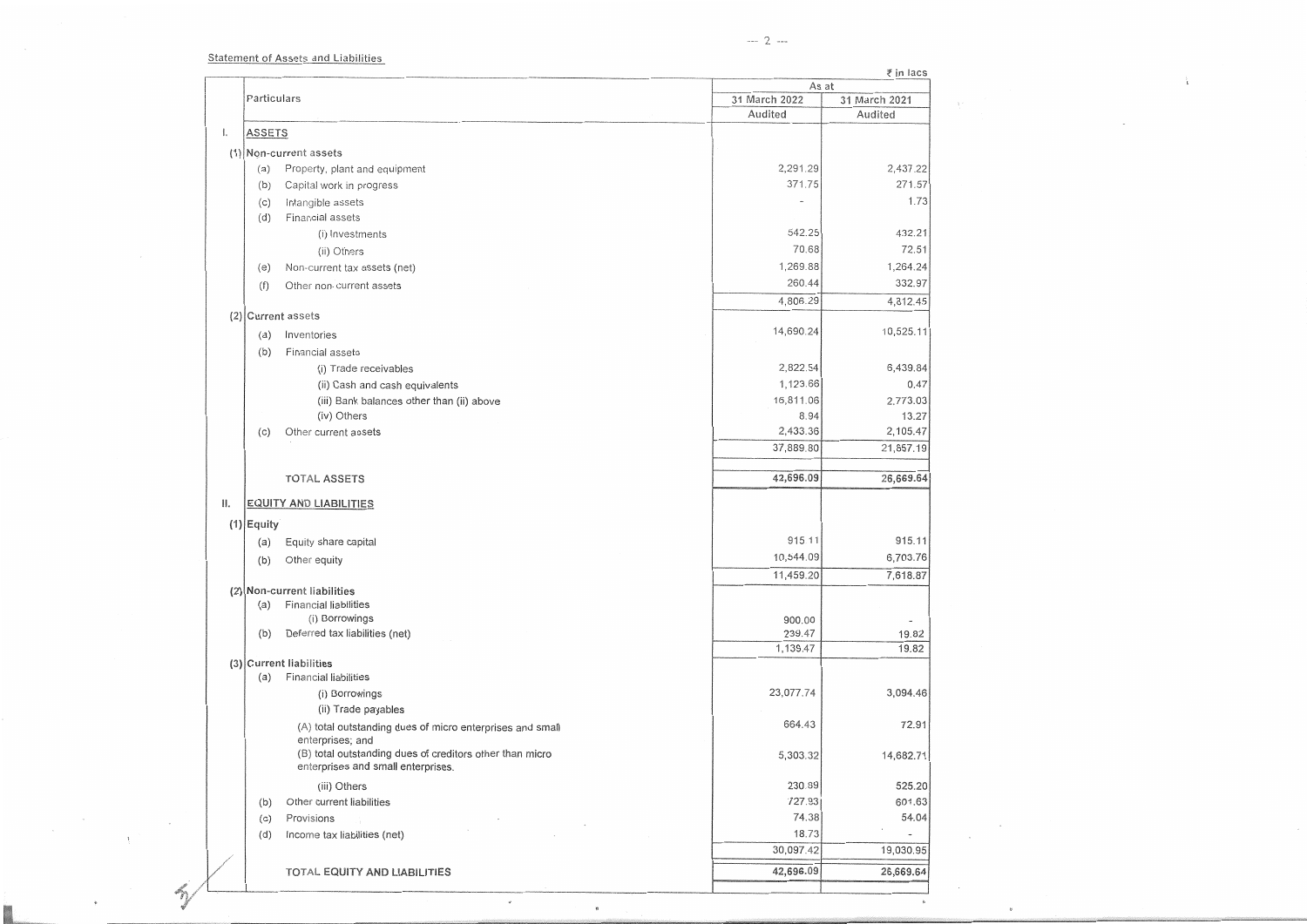Statement of Assets **and** Liabilities

 $\alpha$ 

**K** 

 $\sim$ 

 $\mathscr{E}_{\eta}$ 

 $\mathbf{1}$ 

 $\mathbb{R}^{d}$ 

 $\sim$ 

 $\sim$ 

 $\dot{\mathbf{e}}$ 

ł.

÷.

|     |               |                                                                              |                          | ₹ in lacs                |  |  |
|-----|---------------|------------------------------------------------------------------------------|--------------------------|--------------------------|--|--|
|     |               |                                                                              |                          | As at                    |  |  |
|     | Particulars   |                                                                              | 31 March 2022<br>Audited | 31 March 2021            |  |  |
|     |               |                                                                              |                          | Audited                  |  |  |
| 1.  | <b>ASSETS</b> |                                                                              |                          |                          |  |  |
|     |               | (1) Non-current assets                                                       |                          |                          |  |  |
|     | (a)           | Property, plant and equipment                                                | 2,291.29                 | 2,437.22                 |  |  |
|     | (b)           | Capital work in progress                                                     | 371.75                   | 271.57                   |  |  |
|     | (c)           | Intangible assets                                                            |                          | 1.73                     |  |  |
|     | (d)           | Financial assets                                                             |                          |                          |  |  |
|     |               | (i) Investments                                                              | 542.25                   | 432.21                   |  |  |
|     |               | (ii) Others                                                                  | 70.68                    | 72.51                    |  |  |
|     | (e)           | Non-current tax assets (net)                                                 | 1,269.88                 | 1,264.24                 |  |  |
|     | (f)           | Other non-current assets                                                     | 260.44                   | 332.97                   |  |  |
|     |               |                                                                              | 4,806.29                 | 4,812.45                 |  |  |
|     |               | (2) Current assets                                                           |                          |                          |  |  |
|     | (a)           | Inventories                                                                  | 14,690.24                | 10,525.11                |  |  |
|     | (b)           | Financial assets                                                             |                          |                          |  |  |
|     |               | (i) Trade receivables                                                        | 2,822.54                 | 6,439.84                 |  |  |
|     |               | (ii) Cash and cash equivalents                                               | 1,123.66                 | 0.47                     |  |  |
|     |               | (iii) Bank balances other than (ii) above                                    | 16,811.06                | 2,773.03                 |  |  |
|     |               | (iv) Others                                                                  | 8.94                     | 13.27                    |  |  |
|     | (c)           | Other current assets                                                         | 2,433.36                 | 2,105.47                 |  |  |
|     |               |                                                                              | 37,889.80                | 21,857.19                |  |  |
|     |               |                                                                              |                          |                          |  |  |
|     |               | <b>TOTAL ASSETS</b>                                                          | 42,696.09                | 26,669.64                |  |  |
| 11. |               | <b>EQUITY AND LIABILITIES</b>                                                |                          |                          |  |  |
|     |               |                                                                              |                          |                          |  |  |
|     | $(1)$ Equity  |                                                                              | 915.11                   | 915.11                   |  |  |
|     | (a)           | Equity share capital                                                         |                          |                          |  |  |
|     | (b)           | Other equity                                                                 | 10,544.09                | 6,703.76                 |  |  |
|     |               |                                                                              | 11,459.20                | 7,618.87                 |  |  |
|     | (a)           | (2) Non-current liabilities<br><b>Financial liabilities</b>                  |                          |                          |  |  |
|     |               | (i) Borrowings                                                               | 900.00                   |                          |  |  |
|     | (b)           | Deferred tax liabilities (net)                                               | 239.47                   | 19.82                    |  |  |
|     |               |                                                                              | 1,139.47                 | 19.82                    |  |  |
|     |               | (3) Current liabilities                                                      |                          |                          |  |  |
|     | (a)           | Financial liabilities                                                        |                          |                          |  |  |
|     |               | (i) Borrowings                                                               | 23,077.74                | 3,094.46                 |  |  |
|     |               | (ii) Trade payables                                                          |                          |                          |  |  |
|     |               | (A) total outstanding dues of micro enterprises and small                    | 664.43                   | 72.91                    |  |  |
|     |               | enterprises; and<br>(B) total outstanding dues of creditors other than micro |                          |                          |  |  |
|     |               | enterprises and small enterprises.                                           | 5,303.32                 | 14,682.71                |  |  |
|     |               | (iii) Others                                                                 | 230.89                   | 525.20                   |  |  |
|     | (b)           | Other current liabilities                                                    | 727.93                   | 601.63                   |  |  |
|     |               | Provisions                                                                   | 74.38                    | 54.04                    |  |  |
|     | (c)<br>(d)    | Income tax liabilities (net)                                                 | 18.73                    | $\overline{\phantom{a}}$ |  |  |
|     |               |                                                                              | 30,097.42                | 19,030.95                |  |  |
|     |               |                                                                              |                          |                          |  |  |
|     |               | TOTAL EQUITY AND LIABILITIES                                                 | 42,696.09                | 26,669.64                |  |  |
|     |               |                                                                              |                          |                          |  |  |

 $\star$ 

 $\mu$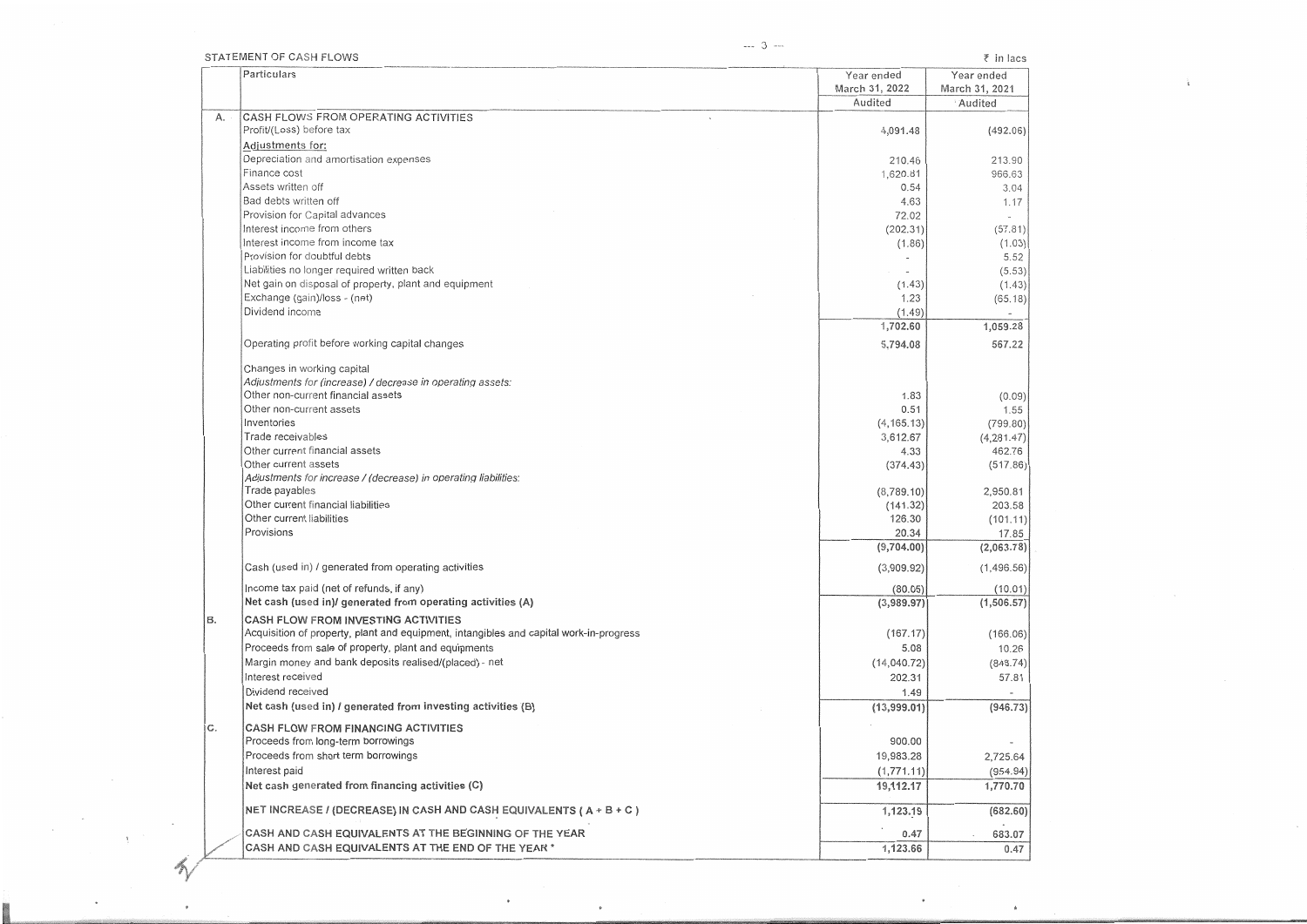$\sim$ 

**INSURANCE** 

 $\mathcal{X}_\mathcal{C}$ 

 $\sim$   $\sim$ 

 $\bigwedge$ 

 $\ddot{\phantom{a}}$ 

 $_{\mu}$ 

 $\star$ 

ì.

|     | STATEMENT OF CASH FLOWS                                                                                                       |                              | $\bar{z}$ in lacs            |
|-----|-------------------------------------------------------------------------------------------------------------------------------|------------------------------|------------------------------|
|     | Particulars                                                                                                                   | Year ended<br>March 31, 2022 | Year ended<br>March 31, 2021 |
|     |                                                                                                                               | Audited                      | Audited                      |
| А.  | CASH FLOWS FROM OPERATING ACTIVITIES<br>Profit/(Loss) before tax                                                              | 4,091.48                     | (492.06)                     |
|     | Adjustments for:                                                                                                              |                              |                              |
|     | Depreciation and amortisation expenses                                                                                        | 210.46                       | 213.90                       |
|     | Finance cost                                                                                                                  | 1,620.81                     | 966.63                       |
|     | Assets written off                                                                                                            | 0.54                         | 3.04                         |
|     | Bad debts written off                                                                                                         | 4.63                         | 1.17                         |
|     | Provision for Capital advances                                                                                                | 72.02                        |                              |
|     | Interest income from others                                                                                                   | (202.31)                     | (57.81)                      |
|     | Interest income from income tax                                                                                               | (1.86)                       | (1.03)                       |
|     | Provision for doubtful debts                                                                                                  |                              | 5.52                         |
|     | Liabilities no longer required written back                                                                                   |                              | (5.53)                       |
|     | Net gain on disposal of property, plant and equipment                                                                         | (1.43)                       | (1.43)                       |
|     | Exchange (gain)/loss - (net)                                                                                                  | 1.23                         | (65.18)                      |
|     | Dividend income                                                                                                               | (1.49)                       |                              |
|     |                                                                                                                               | 1,702.60                     | 1,059.28                     |
|     | Operating profit before working capital changes                                                                               | 5,794.08                     | 567.22                       |
|     | Changes in working capital                                                                                                    |                              |                              |
|     | Adjustments for (increase) / decrease in operating assets:                                                                    |                              |                              |
|     | Other non-current financial assets                                                                                            | 1.83                         | (0.09)                       |
|     | Other non-current assets                                                                                                      | 0.51                         | 1.55                         |
|     | Inventories                                                                                                                   | (4, 165.13)                  | (799.80)                     |
|     | Trade receivables                                                                                                             | 3,612.67                     | (4, 281.47)                  |
|     | Other current financial assets                                                                                                | 4.33                         | 462.76                       |
|     | Other current assets                                                                                                          | (374.43)                     | (517.86)                     |
|     | Adjustments for increase / (decrease) in operating liabilities:                                                               |                              |                              |
|     | Trade payables                                                                                                                | (8,789.10)                   | 2,950.81                     |
|     | Other current financial liabilities                                                                                           | (141.32)                     | 203.58                       |
|     | Other current liabilities                                                                                                     | 126.30                       | (101.11)                     |
|     | Provisions                                                                                                                    | 20.34                        | 17.85                        |
|     |                                                                                                                               | (9,704.00)                   | (2,063.78)                   |
|     | Cash (used in) / generated from operating activities                                                                          | (3,909.92)                   | (1, 496.56)                  |
|     | Income tax paid (net of refunds, if any)                                                                                      | (80.05)                      | (10.01)                      |
|     | Net cash (used in)/ generated from operating activities (A)                                                                   | (3,989.97)                   | (1,506.57)                   |
| B.  | CASH FLOW FROM INVESTING ACTIVITIES<br>Acquisition of property, plant and equipment, intangibles and capital work-in-progress | (167.17)                     | (166.06)                     |
|     | Proceeds from sale of property, plant and equipments                                                                          | 5.08                         | 10.26                        |
|     | Margin money and bank deposits realised/(placed) - net                                                                        | (14,040.72)                  | (848.74)                     |
|     | Interest received                                                                                                             | 202.31                       | 57.81                        |
|     | Dividend received                                                                                                             | 1.49                         |                              |
|     | Net cash (used in) / generated from investing activities (B)                                                                  | (13,999.01)                  |                              |
|     |                                                                                                                               |                              | (946.73)                     |
| ic. | CASH FLOW FROM FINANCING ACTIVITIES                                                                                           |                              |                              |
|     | Proceeds from long-term borrowings<br>Proceeds from short term borrowings                                                     | 900.00                       |                              |
|     |                                                                                                                               | 19,983.28                    | 2,725.64                     |
|     | Interest paid                                                                                                                 | (1,771.11)                   | (954.94)                     |
|     | Net cash generated from financing activities (C)                                                                              | 19,112.17                    | 1,770.70                     |
|     | NET INCREASE / (DECREASE) IN CASH AND CASH EQUIVALENTS (A + B + C)                                                            | 1,123.19                     | (682.60)                     |
|     | CASH AND CASH EQUIVALENTS AT THE BEGINNING OF THE YEAR                                                                        | 0.47                         | 683.07                       |
|     | CASH AND CASH EQUIVALENTS AT THE END OF THE YEAR *                                                                            | 1,123.66                     | 0.47                         |

 $^\mathrm{+}$ 

 $\bullet$